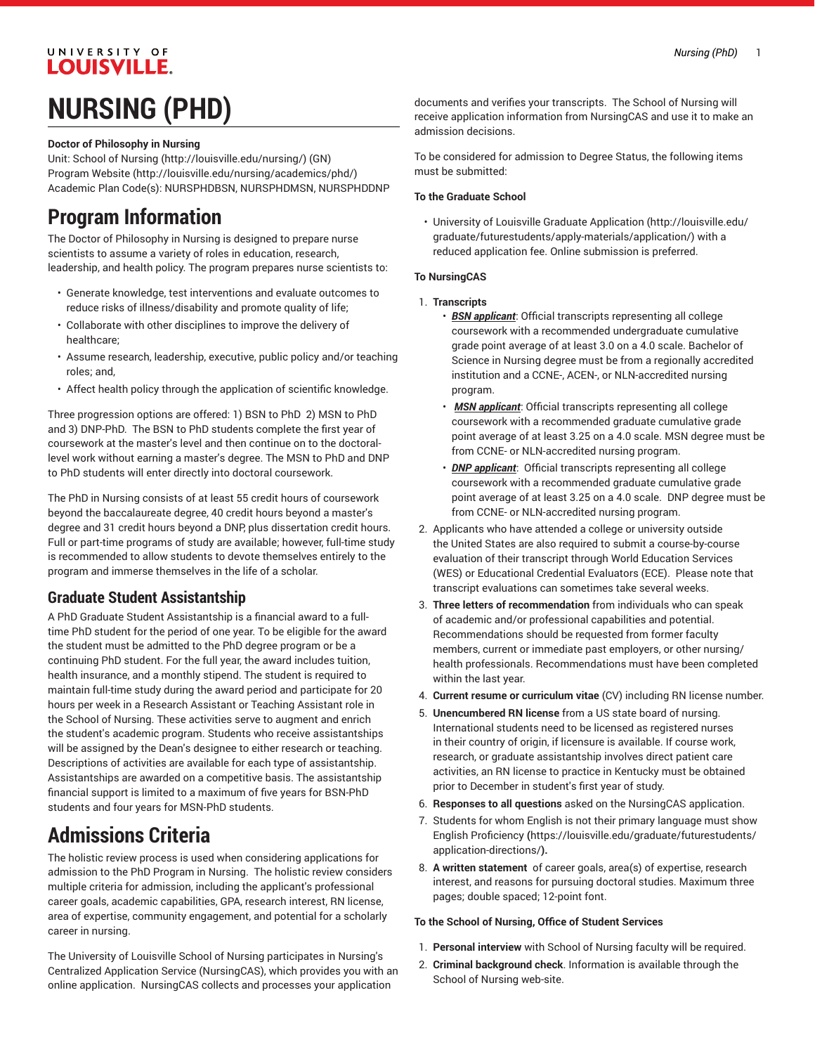# UNIVERSITY OF **LOUISVILLE. NURSING (PHD)**

#### **Doctor of Philosophy in Nursing**

Unit: [School of Nursing](http://louisville.edu/nursing/) ([http://louisville.edu/nursing/\)](http://louisville.edu/nursing/) (GN) [Program](http://louisville.edu/nursing/academics/phd/) Website [\(http://louisville.edu/nursing/academics/phd/\)](http://louisville.edu/nursing/academics/phd/) Academic Plan Code(s): NURSPHDBSN, NURSPHDMSN, NURSPHDDNP

## **Program Information**

The Doctor of Philosophy in Nursing is designed to prepare nurse scientists to assume a variety of roles in education, research, leadership, and health policy. The program prepares nurse scientists to:

- Generate knowledge, test interventions and evaluate outcomes to reduce risks of illness/disability and promote quality of life;
- Collaborate with other disciplines to improve the delivery of healthcare;
- Assume research, leadership, executive, public policy and/or teaching roles; and,
- Affect health policy through the application of scientific knowledge.

Three progression options are offered: 1) BSN to PhD 2) MSN to PhD and 3) DNP-PhD. The BSN to PhD students complete the first year of coursework at the master's level and then continue on to the doctorallevel work without earning a master's degree. The MSN to PhD and DNP to PhD students will enter directly into doctoral coursework.

The PhD in Nursing consists of at least 55 credit hours of coursework beyond the baccalaureate degree, 40 credit hours beyond a master's degree and 31 credit hours beyond a DNP, plus dissertation credit hours. Full or part-time programs of study are available; however, full-time study is recommended to allow students to devote themselves entirely to the program and immerse themselves in the life of a scholar.

### **Graduate Student Assistantship**

A PhD Graduate Student Assistantship is a financial award to a fulltime PhD student for the period of one year. To be eligible for the award the student must be admitted to the PhD degree program or be a continuing PhD student. For the full year, the award includes tuition, health insurance, and a monthly stipend. The student is required to maintain full-time study during the award period and participate for 20 hours per week in a Research Assistant or Teaching Assistant role in the School of Nursing. These activities serve to augment and enrich the student's academic program. Students who receive assistantships will be assigned by the Dean's designee to either research or teaching. Descriptions of activities are available for each type of assistantship. Assistantships are awarded on a competitive basis. The assistantship financial support is limited to a maximum of five years for BSN-PhD students and four years for MSN-PhD students.

# **Admissions Criteria**

The holistic review process is used when considering applications for admission to the PhD Program in Nursing. The holistic review considers multiple criteria for admission, including the applicant's professional career goals, academic capabilities, GPA, research interest, RN license, area of expertise, community engagement, and potential for a scholarly career in nursing.

The University of Louisville School of Nursing participates in Nursing's Centralized Application Service (NursingCAS), which provides you with an online application. NursingCAS collects and processes your application

documents and verifies your transcripts. The School of Nursing will receive application information from NursingCAS and use it to make an admission decisions.

To be considered for admission to Degree Status, the following items must be submitted:

#### **To the Graduate School**

• University of Louisville [Graduate Application](http://louisville.edu/graduate/futurestudents/apply-materials/application/) ([http://louisville.edu/](http://louisville.edu/graduate/futurestudents/apply-materials/application/) [graduate/futurestudents/apply-materials/application/](http://louisville.edu/graduate/futurestudents/apply-materials/application/)) with a reduced application fee. Online submission is preferred.

#### **To NursingCAS**

- 1. **Transcripts**
	- *BSN applicant*: Official transcripts representing all college coursework with a recommended undergraduate cumulative grade point average of at least 3.0 on a 4.0 scale. Bachelor of Science in Nursing degree must be from a regionally accredited institution and a CCNE-, ACEN-, or NLN-accredited nursing program.
	- *MSN applicant*: Official transcripts representing all college coursework with a recommended graduate cumulative grade point average of at least 3.25 on a 4.0 scale. MSN degree must be from CCNE- or NLN-accredited nursing program.
	- *DNP applicant*: Official transcripts representing all college coursework with a recommended graduate cumulative grade point average of at least 3.25 on a 4.0 scale. DNP degree must be from CCNE- or NLN-accredited nursing program.
- 2. Applicants who have attended a college or university outside the United States are also required to submit a course-by-course evaluation of their transcript through World Education Services (WES) or Educational Credential Evaluators (ECE). Please note that transcript evaluations can sometimes take several weeks.
- 3. **Three letters of recommendation** from individuals who can speak of academic and/or professional capabilities and potential. Recommendations should be requested from former faculty members, current or immediate past employers, or other nursing/ health professionals. Recommendations must have been completed within the last year.
- 4. **Current resume or curriculum vitae** (CV) including RN license number.
- 5. **Unencumbered RN license** from a US state board of nursing. International students need to be licensed as registered nurses in their country of origin, if licensure is available. If course work, research, or graduate assistantship involves direct patient care activities, an RN license to practice in Kentucky must be obtained prior to December in student's first year of study.
- 6. **Responses to all questions** asked on the NursingCAS application.
- 7. Students for whom English is not their primary language must show English [Proficiency](https://louisville.edu/graduate/futurestudents/application-directions/) **(**[https://louisville.edu/graduate/futurestudents/](https://louisville.edu/graduate/futurestudents/application-directions/) [application-directions/](https://louisville.edu/graduate/futurestudents/application-directions/)**).**
- 8. **A written statement**  of career goals, area(s) of expertise, research interest, and reasons for pursuing doctoral studies. Maximum three pages; double spaced; 12-point font.

#### **To the School of Nursing, Office of Student Services**

- 1. **Personal interview** with School of Nursing faculty will be required.
- 2. **Criminal background check**. Information is available through the School of Nursing web-site.